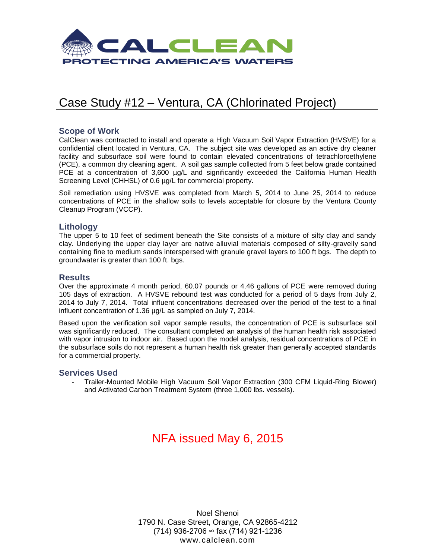

# Case Study #12 – Ventura, CA (Chlorinated Project)

### **Scope of Work**

CalClean was contracted to install and operate a High Vacuum Soil Vapor Extraction (HVSVE) for a confidential client located in Ventura, CA. The subject site was developed as an active dry cleaner facility and subsurface soil were found to contain elevated concentrations of tetrachloroethylene (PCE), a common dry cleaning agent. A soil gas sample collected from 5 feet below grade contained PCE at a concentration of 3,600 µg/L and significantly exceeded the California Human Health Screening Level (CHHSL) of 0.6 µg/L for commercial property.

Soil remediation using HVSVE was completed from March 5, 2014 to June 25, 2014 to reduce concentrations of PCE in the shallow soils to levels acceptable for closure by the Ventura County Cleanup Program (VCCP).

### **Lithology**

The upper 5 to 10 feet of sediment beneath the Site consists of a mixture of silty clay and sandy clay. Underlying the upper clay layer are native alluvial materials composed of silty-gravelly sand containing fine to medium sands interspersed with granule gravel layers to 100 ft bgs. The depth to groundwater is greater than 100 ft. bgs.

### **Results**

Over the approximate 4 month period, 60.07 pounds or 4.46 gallons of PCE were removed during 105 days of extraction. A HVSVE rebound test was conducted for a period of 5 days from July 2, 2014 to July 7, 2014. Total influent concentrations decreased over the period of the test to a final influent concentration of 1.36 µg/L as sampled on July 7, 2014.

Based upon the verification soil vapor sample results, the concentration of PCE is subsurface soil was significantly reduced. The consultant completed an analysis of the human health risk associated with vapor intrusion to indoor air. Based upon the model analysis, residual concentrations of PCE in the subsurface soils do not represent a human health risk greater than generally accepted standards for a commercial property.

#### **Services Used**

- Trailer-Mounted Mobile High Vacuum Soil Vapor Extraction (300 CFM Liquid-Ring Blower) and Activated Carbon Treatment System (three 1,000 lbs. vessels).

# NFA issued May 6, 2015

Noel Shenoi 1790 N. Case Street, Orange, CA 92865-4212 (714) 936-2706 ∞ fax (714) 921-1236 www.calclean.com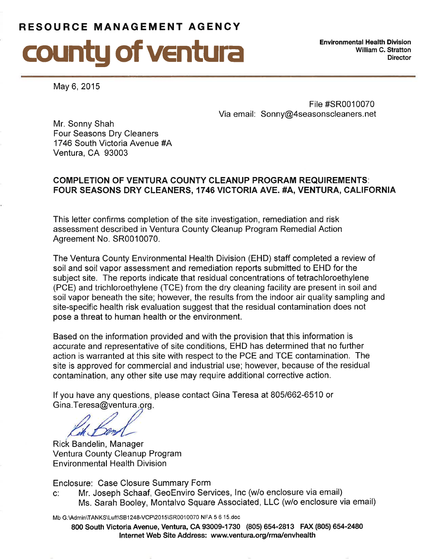# RESOURCE MANAGEMENT AGENCY



**Environmental Health Division** William C. Stratton **Director** 

May 6, 2015

File #SR0010070 Via email: Sonny@4seasonscleaners.net

Mr. Sonny Shah Four Seasons Dry Cleaners 1746 South Victoria Avenue #A Ventura, CA 93003

## **COMPLETION OF VENTURA COUNTY CLEANUP PROGRAM REQUIREMENTS:** FOUR SEASONS DRY CLEANERS, 1746 VICTORIA AVE. #A, VENTURA, CALIFORNIA

This letter confirms completion of the site investigation, remediation and risk assessment described in Ventura County Cleanup Program Remedial Action Agreement No. SR0010070.

The Ventura County Environmental Health Division (EHD) staff completed a review of soil and soil vapor assessment and remediation reports submitted to EHD for the subject site. The reports indicate that residual concentrations of tetrachloroethylene (PCE) and trichloroethylene (TCE) from the dry cleaning facility are present in soil and soil vapor beneath the site; however, the results from the indoor air quality sampling and site-specific health risk evaluation suggest that the residual contamination does not pose a threat to human health or the environment.

Based on the information provided and with the provision that this information is accurate and representative of site conditions, EHD has determined that no further action is warranted at this site with respect to the PCE and TCE contamination. The site is approved for commercial and industrial use; however, because of the residual contamination, any other site use may require additional corrective action.

If you have any questions, please contact Gina Teresa at 805/662-6510 or Gina.Teresa@ventura.org.

Rick Bandelin, Manager Ventura County Cleanup Program **Environmental Health Division** 

Enclosure: Case Closure Summary Form

Mr. Joseph Schaaf, GeoEnviro Services, Inc (w/o enclosure via email)  $C^{\prime}$ Ms. Sarah Booley, Montalvo Square Associated, LLC (w/o enclosure via email)

Mb G:\Admin\TANKS\Luft\SB1248-VCP\2015\SR0010070 NFA 5 6 15.doc

800 South Victoria Avenue, Ventura, CA 93009-1730 (805) 654-2813 FAX (805) 654-2480 Internet Web Site Address: www.ventura.org/rma/envhealth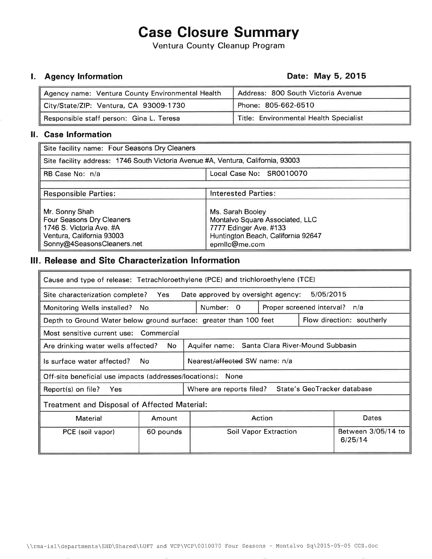# **Case Closure Summary**

Ventura County Cleanup Program

## **I.** Agency Information

### Date: May 5, 2015

| Agency name: Ventura County Environmental Health | Address: 800 South Victoria Avenue     |  |  |  |
|--------------------------------------------------|----------------------------------------|--|--|--|
| City/State/ZIP: Ventura, CA 93009-1730           | Phone: 805-662-6510                    |  |  |  |
| Responsible staff person: Gina L. Teresa         | Title: Environmental Health Specialist |  |  |  |

### II. Case Information

| Site facility name: Four Seasons Dry Cleaners                                                                                             |                                                                                                                                      |  |  |  |  |
|-------------------------------------------------------------------------------------------------------------------------------------------|--------------------------------------------------------------------------------------------------------------------------------------|--|--|--|--|
| Site facility address: 1746 South Victoria Avenue #A, Ventura, California, 93003                                                          |                                                                                                                                      |  |  |  |  |
| RB Case No: n/a                                                                                                                           | Local Case No: SR0010070                                                                                                             |  |  |  |  |
|                                                                                                                                           |                                                                                                                                      |  |  |  |  |
| <b>Responsible Parties:</b>                                                                                                               | <b>Interested Parties:</b>                                                                                                           |  |  |  |  |
| Mr. Sonny Shah<br><b>Four Seasons Dry Cleaners</b><br>1746 S. Victoria Ave. #A<br>Ventura, California 93003<br>Sonny@4SeasonsCleaners.net | Ms. Sarah Booley<br>Montalvo Square Associated, LLC<br>7777 Edinger Ave. #133<br>Huntington Beach, California 92647<br>epmllc@me.com |  |  |  |  |

# III. Release and Site Characterization Information

| Cause and type of release: Tetrachloroethylene (PCE) and trichloroethylene (TCE)               |                                                         |                                               |  |  |                               |  |
|------------------------------------------------------------------------------------------------|---------------------------------------------------------|-----------------------------------------------|--|--|-------------------------------|--|
| 5/05/2015<br>Date approved by oversight agency:<br>Site characterization complete? Yes         |                                                         |                                               |  |  |                               |  |
| Monitoring Wells installed?                                                                    | No.                                                     | Number: 0<br>Proper screened interval?<br>n/a |  |  |                               |  |
| Depth to Ground Water below ground surface: greater than 100 feet                              |                                                         | Flow direction: southerly                     |  |  |                               |  |
| Most sensitive current use: Commercial                                                         |                                                         |                                               |  |  |                               |  |
| Santa Clara River-Mound Subbasin<br>No.<br>Are drinking water wells affected?<br>Aquifer name: |                                                         |                                               |  |  |                               |  |
| Is surface water affected?                                                                     | No.                                                     | Nearest/affected SW name: n/a                 |  |  |                               |  |
| Off-site beneficial use impacts (addresses/locations):<br>None                                 |                                                         |                                               |  |  |                               |  |
| Report(s) on file?<br><b>Yes</b>                                                               | State's GeoTracker database<br>Where are reports filed? |                                               |  |  |                               |  |
| Treatment and Disposal of Affected Material:                                                   |                                                         |                                               |  |  |                               |  |
| <b>Material</b>                                                                                | Amount                                                  | Action                                        |  |  | Dates                         |  |
| PCE (soil vapor)                                                                               | 60 pounds                                               | <b>Soil Vapor Extraction</b>                  |  |  | Between 3/05/14 to<br>6/25/14 |  |